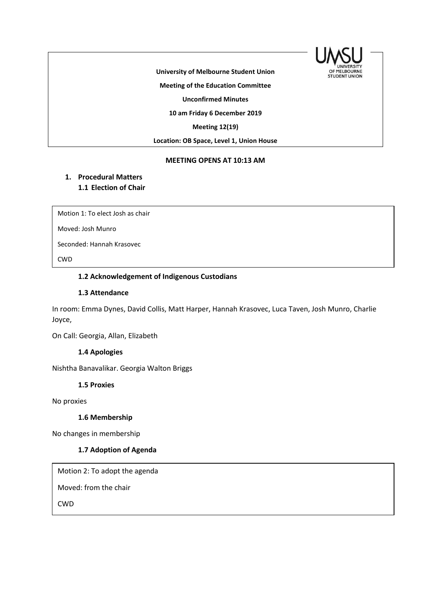

**University of Melbourne Student Union**

**Meeting of the Education Committee**

**Unconfirmed Minutes**

**10 am Friday 6 December 2019**

**Meeting 12(19)** 

**Location: OB Space, Level 1, Union House**

#### **MEETING OPENS AT 10:13 AM**

### **1. Procedural Matters 1.1 Election of Chair**

Motion 1: To elect Josh as chair

Moved: Josh Munro

Seconded: Hannah Krasovec

CWD

## 1.2 Acknowledgement of Indigenous Custodians

### **1.3 Attendance**

In room: Emma Dynes, David Collis, Matt Harper, Hannah Krasovec, Luca Taven, Josh Munro, Charlie Joyce,

On Call: Georgia, Allan, Elizabeth

#### **1.4 Apologies**

Nishtha Banavalikar. Georgia Walton Briggs

**1.5 Proxies**

No proxies

### **1.6 Membership**

No changes in membership

#### **1.7 Adoption of Agenda**

Motion 2: To adopt the agenda

Moved: from the chair

CWD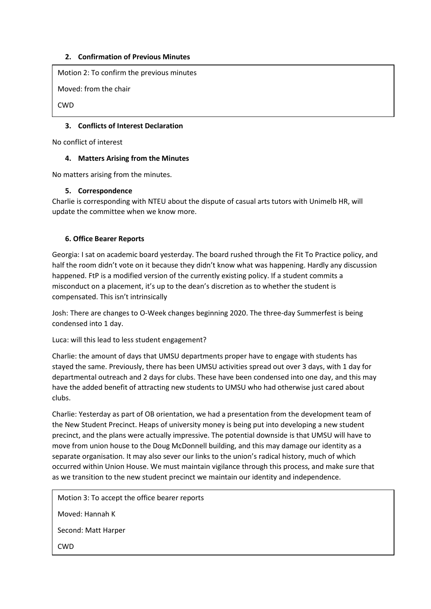### **2. Confirmation of Previous Minutes**

Motion 2: To confirm the previous minutes

Moved: from the chair

CWD

## **3. Conflicts of Interest Declaration**

No conflict of interest

### **4. Matters Arising from the Minutes**

No matters arising from the minutes.

### **5. Correspondence**

Charlie is corresponding with NTEU about the dispute of casual arts tutors with Unimelb HR, will update the committee when we know more.

## **6. Office Bearer Reports**

Georgia: I sat on academic board yesterday. The board rushed through the Fit To Practice policy, and half the room didn't vote on it because they didn't know what was happening. Hardly any discussion happened. FtP is a modified version of the currently existing policy. If a student commits a misconduct on a placement, it's up to the dean's discretion as to whether the student is compensated. This isn't intrinsically

Josh: There are changes to O-Week changes beginning 2020. The three-day Summerfest is being condensed into 1 day.

Luca: will this lead to less student engagement?

Charlie: the amount of days that UMSU departments proper have to engage with students has stayed the same. Previously, there has been UMSU activities spread out over 3 days, with 1 day for departmental outreach and 2 days for clubs. These have been condensed into one day, and this may have the added benefit of attracting new students to UMSU who had otherwise just cared about clubs.

Charlie: Yesterday as part of OB orientation, we had a presentation from the development team of the New Student Precinct. Heaps of university money is being put into developing a new student precinct, and the plans were actually impressive. The potential downside is that UMSU will have to move from union house to the Doug McDonnell building, and this may damage our identity as a separate organisation. It may also sever our links to the union's radical history, much of which occurred within Union House. We must maintain vigilance through this process, and make sure that as we transition to the new student precinct we maintain our identity and independence.

Motion 3: To accept the office bearer reports Moved: Hannah K Second: Matt Harper CWD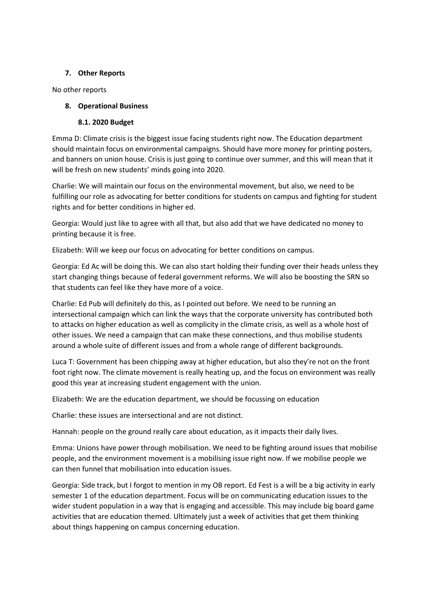### **7. Other Reports**

No other reports

### **8. Operational Business**

#### **8.1. 2020 Budget**

Emma D: Climate crisis is the biggest issue facing students right now. The Education department should maintain focus on environmental campaigns. Should have more money for printing posters, and banners on union house. Crisis is just going to continue over summer, and this will mean that it will be fresh on new students' minds going into 2020.

Charlie: We will maintain our focus on the environmental movement, but also, we need to be fulfilling our role as advocating for better conditions for students on campus and fighting for student rights and for better conditions in higher ed.

Georgia: Would just like to agree with all that, but also add that we have dedicated no money to printing because it is free.

Elizabeth: Will we keep our focus on advocating for better conditions on campus.

Georgia: Ed Ac will be doing this. We can also start holding their funding over their heads unless they start changing things because of federal government reforms. We will also be boosting the SRN so that students can feel like they have more of a voice.

Charlie: Ed Pub will definitely do this, as I pointed out before. We need to be running an intersectional campaign which can link the ways that the corporate university has contributed both to attacks on higher education as well as complicity in the climate crisis, as well as a whole host of other issues. We need a campaign that can make these connections, and thus mobilise students around a whole suite of different issues and from a whole range of different backgrounds.

Luca T: Government has been chipping away at higher education, but also they're not on the front foot right now. The climate movement is really heating up, and the focus on environment was really good this year at increasing student engagement with the union.

Elizabeth: We are the education department, we should be focussing on education

Charlie: these issues are intersectional and are not distinct.

Hannah: people on the ground really care about education, as it impacts their daily lives.

Emma: Unions have power through mobilisation. We need to be fighting around issues that mobilise people, and the environment movement is a mobilising issue right now. If we mobilise people we can then funnel that mobilisation into education issues.

Georgia: Side track, but I forgot to mention in my OB report. Ed Fest is a will be a big activity in early semester 1 of the education department. Focus will be on communicating education issues to the wider student population in a way that is engaging and accessible. This may include big board game activities that are education themed. Ultimately just a week of activities that get them thinking about things happening on campus concerning education.